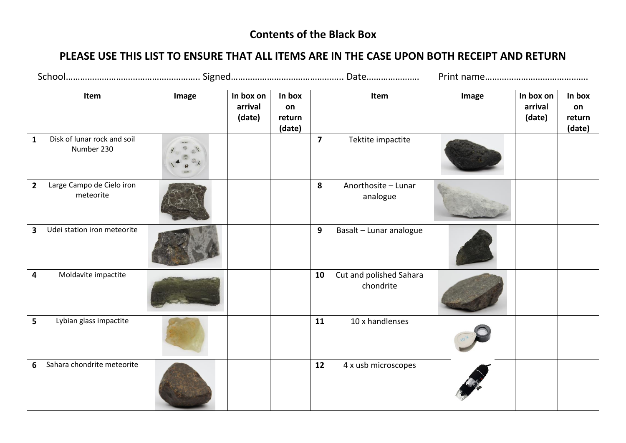## **Contents of the Black Box**

## **PLEASE USE THIS LIST TO ENSURE THAT ALL ITEMS ARE IN THE CASE UPON BOTH RECEIPT AND RETURN**

|                         | Item                                      | Image | In box on<br>arrival<br>(date) | In box<br>on<br>return<br>(date) |                         | Item                                 | Image | In box on<br>arrival<br>(date) | In box<br>on<br>return<br>(date) |
|-------------------------|-------------------------------------------|-------|--------------------------------|----------------------------------|-------------------------|--------------------------------------|-------|--------------------------------|----------------------------------|
| $\mathbf{1}$            | Disk of lunar rock and soil<br>Number 230 |       |                                |                                  | $\overline{\mathbf{z}}$ | Tektite impactite                    |       |                                |                                  |
| $\mathbf{2}$            | Large Campo de Cielo iron<br>meteorite    |       |                                |                                  | 8                       | Anorthosite - Lunar<br>analogue      |       |                                |                                  |
| $\overline{\mathbf{3}}$ | Udei station iron meteorite               |       |                                |                                  | $\overline{9}$          | Basalt - Lunar analogue              |       |                                |                                  |
| $\overline{\mathbf{4}}$ | Moldavite impactite                       |       |                                |                                  | 10                      | Cut and polished Sahara<br>chondrite |       |                                |                                  |
| 5                       | Lybian glass impactite                    |       |                                |                                  | 11                      | 10 x handlenses                      |       |                                |                                  |
| 6                       | Sahara chondrite meteorite                |       |                                |                                  | 12                      | 4 x usb microscopes                  |       |                                |                                  |